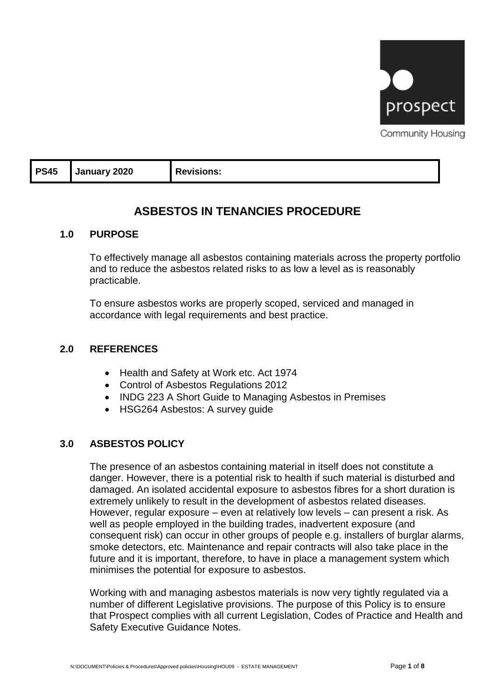

Community Housing

| <b>PS45</b> | January 2020 | <b>Revisions:</b> |
|-------------|--------------|-------------------|
|-------------|--------------|-------------------|

# **ASBESTOS IN TENANCIES PROCEDURE**

### **1.0 PURPOSE**

To effectively manage all asbestos containing materials across the property portfolio and to reduce the asbestos related risks to as low a level as is reasonably practicable.

To ensure asbestos works are properly scoped, serviced and managed in accordance with legal requirements and best practice.

### **2.0 REFERENCES**

- Health and Safety at Work etc. Act 1974
- Control of Asbestos Regulations 2012
- INDG 223 A Short Guide to Managing Asbestos in Premises
- HSG264 Asbestos: A survey guide

### **3.0 ASBESTOS POLICY**

The presence of an asbestos containing material in itself does not constitute a danger. However, there is a potential risk to health if such material is disturbed and damaged. An isolated accidental exposure to asbestos fibres for a short duration is extremely unlikely to result in the development of asbestos related diseases. However, regular exposure – even at relatively low levels – can present a risk. As well as people employed in the building trades, inadvertent exposure (and consequent risk) can occur in other groups of people e.g. installers of burglar alarms, smoke detectors, etc. Maintenance and repair contracts will also take place in the future and it is important, therefore, to have in place a management system which minimises the potential for exposure to asbestos.

Working with and managing asbestos materials is now very tightly regulated via a number of different Legislative provisions. The purpose of this Policy is to ensure that Prospect complies with all current Legislation, Codes of Practice and Health and Safety Executive Guidance Notes.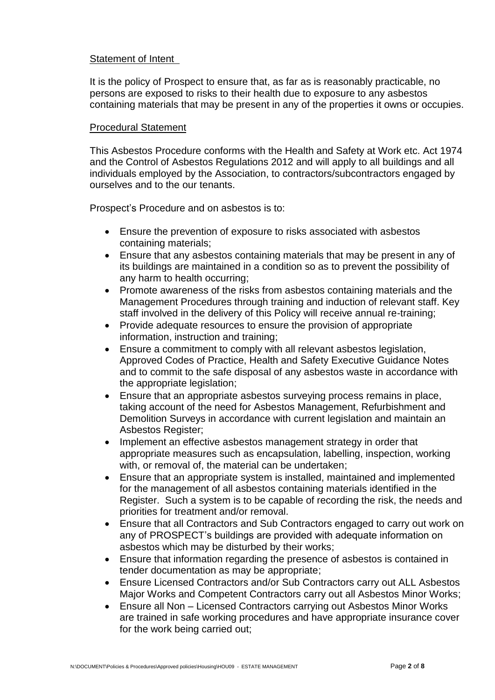#### Statement of Intent

It is the policy of Prospect to ensure that, as far as is reasonably practicable, no persons are exposed to risks to their health due to exposure to any asbestos containing materials that may be present in any of the properties it owns or occupies.

#### Procedural Statement

This Asbestos Procedure conforms with the Health and Safety at Work etc. Act 1974 and the Control of Asbestos Regulations 2012 and will apply to all buildings and all individuals employed by the Association, to contractors/subcontractors engaged by ourselves and to the our tenants.

Prospect's Procedure and on asbestos is to:

- Ensure the prevention of exposure to risks associated with asbestos containing materials;
- Ensure that any asbestos containing materials that may be present in any of its buildings are maintained in a condition so as to prevent the possibility of any harm to health occurring;
- Promote awareness of the risks from asbestos containing materials and the Management Procedures through training and induction of relevant staff. Key staff involved in the delivery of this Policy will receive annual re-training;
- Provide adequate resources to ensure the provision of appropriate information, instruction and training;
- Ensure a commitment to comply with all relevant asbestos legislation, Approved Codes of Practice, Health and Safety Executive Guidance Notes and to commit to the safe disposal of any asbestos waste in accordance with the appropriate legislation;
- Ensure that an appropriate asbestos surveying process remains in place, taking account of the need for Asbestos Management, Refurbishment and Demolition Surveys in accordance with current legislation and maintain an Asbestos Register;
- Implement an effective asbestos management strategy in order that appropriate measures such as encapsulation, labelling, inspection, working with, or removal of, the material can be undertaken;
- Ensure that an appropriate system is installed, maintained and implemented for the management of all asbestos containing materials identified in the Register. Such a system is to be capable of recording the risk, the needs and priorities for treatment and/or removal.
- Ensure that all Contractors and Sub Contractors engaged to carry out work on any of PROSPECT's buildings are provided with adequate information on asbestos which may be disturbed by their works;
- Ensure that information regarding the presence of asbestos is contained in tender documentation as may be appropriate;
- Ensure Licensed Contractors and/or Sub Contractors carry out ALL Asbestos Major Works and Competent Contractors carry out all Asbestos Minor Works;
- Ensure all Non Licensed Contractors carrying out Asbestos Minor Works are trained in safe working procedures and have appropriate insurance cover for the work being carried out;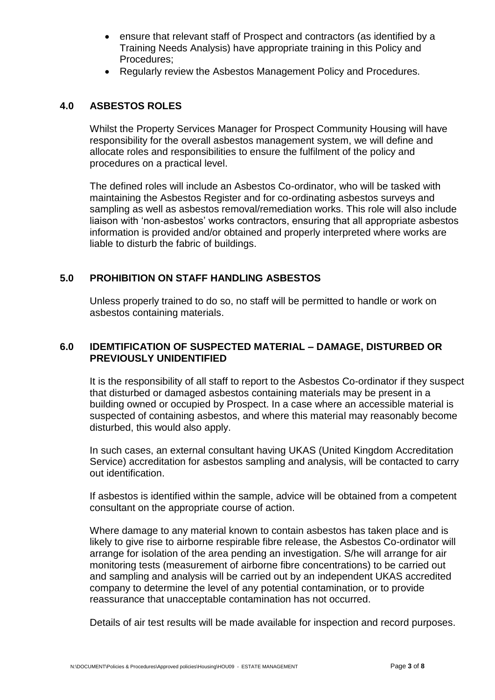- ensure that relevant staff of Prospect and contractors (as identified by a Training Needs Analysis) have appropriate training in this Policy and Procedures;
- Regularly review the Asbestos Management Policy and Procedures.

# **4.0 ASBESTOS ROLES**

Whilst the Property Services Manager for Prospect Community Housing will have responsibility for the overall asbestos management system, we will define and allocate roles and responsibilities to ensure the fulfilment of the policy and procedures on a practical level.

The defined roles will include an Asbestos Co-ordinator, who will be tasked with maintaining the Asbestos Register and for co-ordinating asbestos surveys and sampling as well as asbestos removal/remediation works. This role will also include liaison with 'non-asbestos' works contractors, ensuring that all appropriate asbestos information is provided and/or obtained and properly interpreted where works are liable to disturb the fabric of buildings.

# **5.0 PROHIBITION ON STAFF HANDLING ASBESTOS**

Unless properly trained to do so, no staff will be permitted to handle or work on asbestos containing materials.

### **6.0 IDEMTIFICATION OF SUSPECTED MATERIAL – DAMAGE, DISTURBED OR PREVIOUSLY UNIDENTIFIED**

It is the responsibility of all staff to report to the Asbestos Co-ordinator if they suspect that disturbed or damaged asbestos containing materials may be present in a building owned or occupied by Prospect. In a case where an accessible material is suspected of containing asbestos, and where this material may reasonably become disturbed, this would also apply.

In such cases, an external consultant having UKAS (United Kingdom Accreditation Service) accreditation for asbestos sampling and analysis, will be contacted to carry out identification.

If asbestos is identified within the sample, advice will be obtained from a competent consultant on the appropriate course of action.

Where damage to any material known to contain asbestos has taken place and is likely to give rise to airborne respirable fibre release, the Asbestos Co-ordinator will arrange for isolation of the area pending an investigation. S/he will arrange for air monitoring tests (measurement of airborne fibre concentrations) to be carried out and sampling and analysis will be carried out by an independent UKAS accredited company to determine the level of any potential contamination, or to provide reassurance that unacceptable contamination has not occurred.

Details of air test results will be made available for inspection and record purposes.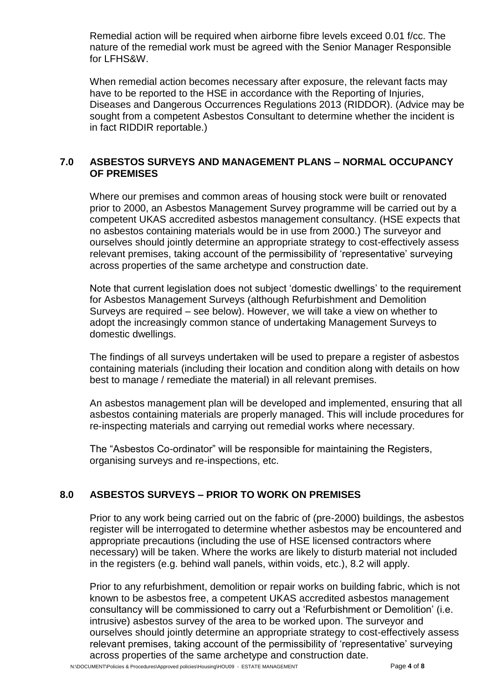Remedial action will be required when airborne fibre levels exceed 0.01 f/cc. The nature of the remedial work must be agreed with the Senior Manager Responsible for LFHS&W.

When remedial action becomes necessary after exposure, the relevant facts may have to be reported to the HSE in accordance with the Reporting of Injuries, Diseases and Dangerous Occurrences Regulations 2013 (RIDDOR). (Advice may be sought from a competent Asbestos Consultant to determine whether the incident is in fact RIDDIR reportable.)

# **7.0 ASBESTOS SURVEYS AND MANAGEMENT PLANS – NORMAL OCCUPANCY OF PREMISES**

Where our premises and common areas of housing stock were built or renovated prior to 2000, an Asbestos Management Survey programme will be carried out by a competent UKAS accredited asbestos management consultancy. (HSE expects that no asbestos containing materials would be in use from 2000.) The surveyor and ourselves should jointly determine an appropriate strategy to cost-effectively assess relevant premises, taking account of the permissibility of 'representative' surveying across properties of the same archetype and construction date.

Note that current legislation does not subject 'domestic dwellings' to the requirement for Asbestos Management Surveys (although Refurbishment and Demolition Surveys are required – see below). However, we will take a view on whether to adopt the increasingly common stance of undertaking Management Surveys to domestic dwellings.

The findings of all surveys undertaken will be used to prepare a register of asbestos containing materials (including their location and condition along with details on how best to manage / remediate the material) in all relevant premises.

An asbestos management plan will be developed and implemented, ensuring that all asbestos containing materials are properly managed. This will include procedures for re-inspecting materials and carrying out remedial works where necessary.

The "Asbestos Co-ordinator" will be responsible for maintaining the Registers, organising surveys and re-inspections, etc.

# **8.0 ASBESTOS SURVEYS – PRIOR TO WORK ON PREMISES**

Prior to any work being carried out on the fabric of (pre-2000) buildings, the asbestos register will be interrogated to determine whether asbestos may be encountered and appropriate precautions (including the use of HSE licensed contractors where necessary) will be taken. Where the works are likely to disturb material not included in the registers (e.g. behind wall panels, within voids, etc.), 8.2 will apply.

Prior to any refurbishment, demolition or repair works on building fabric, which is not known to be asbestos free, a competent UKAS accredited asbestos management consultancy will be commissioned to carry out a 'Refurbishment or Demolition' (i.e. intrusive) asbestos survey of the area to be worked upon. The surveyor and ourselves should jointly determine an appropriate strategy to cost-effectively assess relevant premises, taking account of the permissibility of 'representative' surveying across properties of the same archetype and construction date.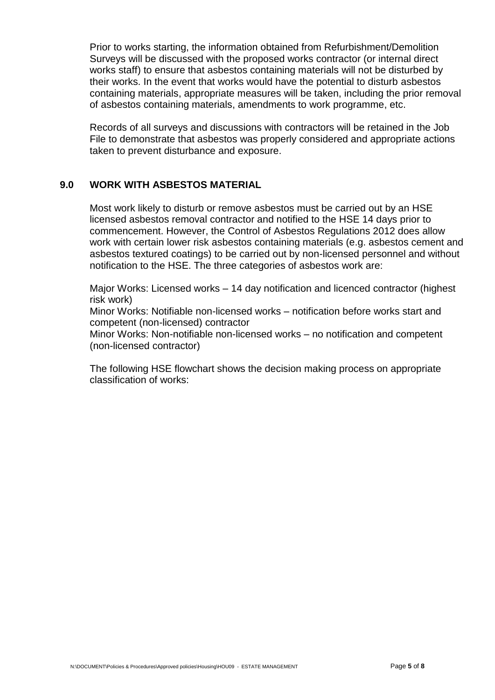Prior to works starting, the information obtained from Refurbishment/Demolition Surveys will be discussed with the proposed works contractor (or internal direct works staff) to ensure that asbestos containing materials will not be disturbed by their works. In the event that works would have the potential to disturb asbestos containing materials, appropriate measures will be taken, including the prior removal of asbestos containing materials, amendments to work programme, etc.

Records of all surveys and discussions with contractors will be retained in the Job File to demonstrate that asbestos was properly considered and appropriate actions taken to prevent disturbance and exposure.

# **9.0 WORK WITH ASBESTOS MATERIAL**

Most work likely to disturb or remove asbestos must be carried out by an HSE licensed asbestos removal contractor and notified to the HSE 14 days prior to commencement. However, the Control of Asbestos Regulations 2012 does allow work with certain lower risk asbestos containing materials (e.g. asbestos cement and asbestos textured coatings) to be carried out by non-licensed personnel and without notification to the HSE. The three categories of asbestos work are:

Major Works: Licensed works – 14 day notification and licenced contractor (highest risk work)

Minor Works: Notifiable non-licensed works – notification before works start and competent (non-licensed) contractor

Minor Works: Non-notifiable non-licensed works – no notification and competent (non-licensed contractor)

The following HSE flowchart shows the decision making process on appropriate classification of works: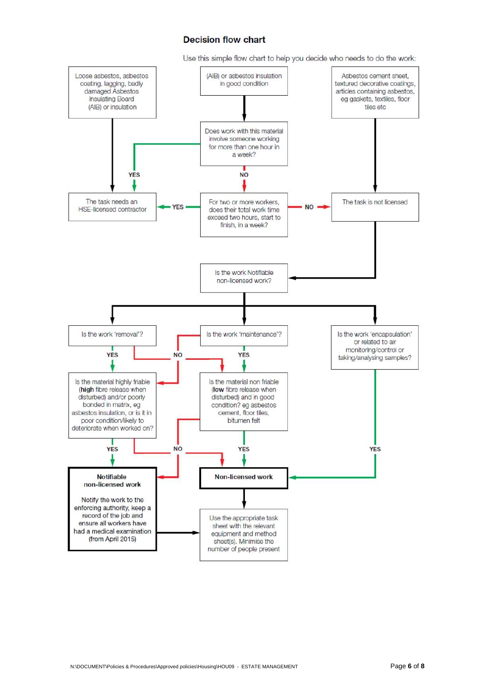#### **Decision flow chart**

Use this simple flow chart to help you decide who needs to do the work:

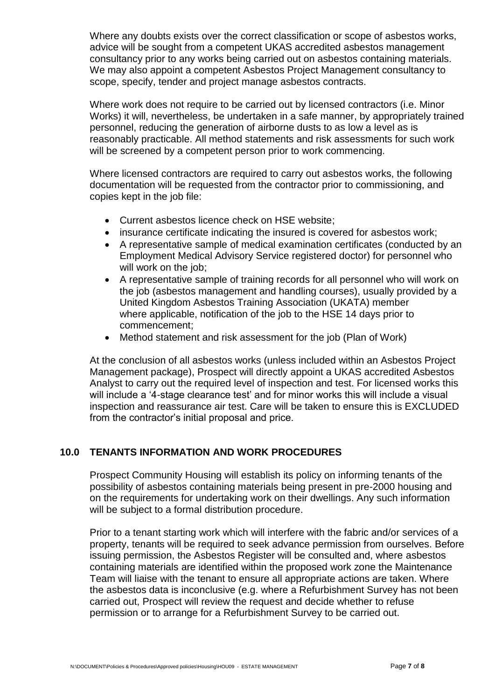Where any doubts exists over the correct classification or scope of asbestos works, advice will be sought from a competent UKAS accredited asbestos management consultancy prior to any works being carried out on asbestos containing materials. We may also appoint a competent Asbestos Project Management consultancy to scope, specify, tender and project manage asbestos contracts.

Where work does not require to be carried out by licensed contractors (i.e. Minor Works) it will, nevertheless, be undertaken in a safe manner, by appropriately trained personnel, reducing the generation of airborne dusts to as low a level as is reasonably practicable. All method statements and risk assessments for such work will be screened by a competent person prior to work commencing.

Where licensed contractors are required to carry out asbestos works, the following documentation will be requested from the contractor prior to commissioning, and copies kept in the job file:

- Current asbestos licence check on HSE website;
- insurance certificate indicating the insured is covered for asbestos work;
- A representative sample of medical examination certificates (conducted by an Employment Medical Advisory Service registered doctor) for personnel who will work on the job;
- A representative sample of training records for all personnel who will work on the job (asbestos management and handling courses), usually provided by a United Kingdom Asbestos Training Association (UKATA) member where applicable, notification of the job to the HSE 14 days prior to commencement;
- Method statement and risk assessment for the job (Plan of Work)

At the conclusion of all asbestos works (unless included within an Asbestos Project Management package), Prospect will directly appoint a UKAS accredited Asbestos Analyst to carry out the required level of inspection and test. For licensed works this will include a '4-stage clearance test' and for minor works this will include a visual inspection and reassurance air test. Care will be taken to ensure this is EXCLUDED from the contractor's initial proposal and price.

## **10.0 TENANTS INFORMATION AND WORK PROCEDURES**

Prospect Community Housing will establish its policy on informing tenants of the possibility of asbestos containing materials being present in pre-2000 housing and on the requirements for undertaking work on their dwellings. Any such information will be subject to a formal distribution procedure.

Prior to a tenant starting work which will interfere with the fabric and/or services of a property, tenants will be required to seek advance permission from ourselves. Before issuing permission, the Asbestos Register will be consulted and, where asbestos containing materials are identified within the proposed work zone the Maintenance Team will liaise with the tenant to ensure all appropriate actions are taken. Where the asbestos data is inconclusive (e.g. where a Refurbishment Survey has not been carried out, Prospect will review the request and decide whether to refuse permission or to arrange for a Refurbishment Survey to be carried out.